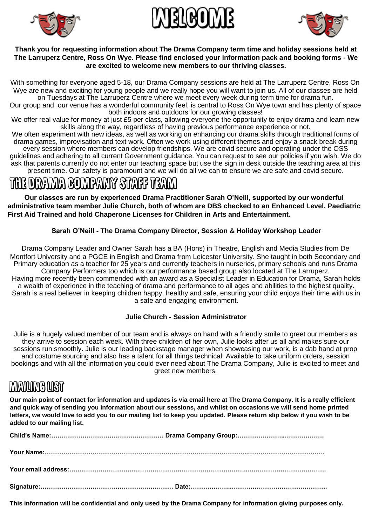



#### **Thank you for requesting information about The Drama Company term time and holiday sessions held at The Larruperz Centre, Ross On Wye. Please find enclosed your information pack and booking forms - We are excited to welcome new members to our thriving classes.**

With something for everyone aged 5-18, our Drama Company sessions are held at The Larruperz Centre, Ross On Wye are new and exciting for young people and we really hope you will want to join us. All of our classes are held on Tuesdays at The Larruperz Centre where we meet every week during term time for drama fun.

Our group and our venue has a wonderful community feel, is central to Ross On Wye town and has plenty of space both indoors and outdoors for our growing classes!

We offer real value for money at just £5 per class, allowing everyone the opportunity to enjoy drama and learn new skills along the way, regardless of having previous performance experience or not.

We often experiment with new ideas, as well as working on enhancing our drama skills through traditional forms of drama games, improvisation and text work. Often we work using different themes and enjoy a snack break during every session where members can develop friendships. We are covid secure and operating under the OSS guidelines and adhering to all current Government guidance. You can request to see our policies if you wish. We do ask that parents currently do not enter our teaching space but use the sign in desk outside the teaching area at this present time. Our safety is paramount and we will do all we can to ensure we are safe and covid secure.

# THE DRAMA COMPANY STAFF TEAM

**Our classes are run by experienced Drama Practitioner Sarah O'Neill, supported by our wonderful administrative team member Julie Church, both of whom are DBS checked to an Enhanced Level, Paediatric First Aid Trained and hold Chaperone Licenses for Children in Arts and Entertainment.** 

#### **Sarah O'Neill - The Drama Company Director, Session & Holiday Workshop Leader**

Drama Company Leader and Owner Sarah has a BA (Hons) in Theatre, English and Media Studies from De Montfort University and a PGCE in English and Drama from Leicester University. She taught in both Secondary and Primary education as a teacher for 25 years and currently teachers in nurseries, primary schools and runs Drama Company Performers too which is our performance based group also located at The Larruperz. Having more recently been commended with an award as a Specialist Leader in Education for Drama, Sarah holds a wealth of experience in the teaching of drama and performance to all ages and abilities to the highest quality. Sarah is a real believer in keeping children happy, healthy and safe, ensuring your child enjoys their time with us in a safe and engaging environment.

#### **Julie Church - Session Administrator**

Julie is a hugely valued member of our team and is always on hand with a friendly smile to greet our members as they arrive to session each week. With three children of her own, Julie looks after us all and makes sure our sessions run smoothly. Julie is our leading backstage manager when showcasing our work, is a dab hand at prop and costume sourcing and also has a talent for all things technical! Available to take uniform orders, session bookings and with all the information you could ever need about The Drama Company, Julie is excited to meet and greet new members.

## **MANUME UST**

**Our main point of contact for information and updates is via email here at The Drama Company. It is a really efficient and quick way of sending you information about our sessions, and whilst on occasions we will send home printed letters, we would love to add you to our mailing list to keep you updated. Please return slip below if you wish to be added to our mailing list.** 

**This information will be confidential and only used by the Drama Company for information giving purposes only.**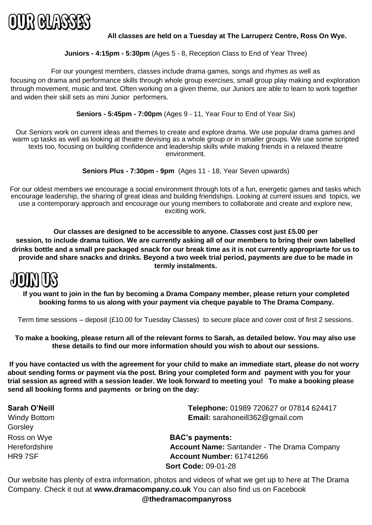

#### **All classes are held on a Tuesday at The Larruperz Centre, Ross On Wye.**

#### **Juniors - 4:15pm - 5:30pm** (Ages 5 - 8, Reception Class to End of Year Three)

For our youngest members, classes include drama games, songs and rhymes as well as focusing on drama and performance skills through whole group exercises, small group play making and exploration through movement, music and text. Often working on a given theme, our Juniors are able to learn to work together and widen their skill sets as mini Junior performers.

**Seniors - 5:45pm - 7:00pm** (Ages 9 - 11, Year Four to End of Year Six)

Our Seniors work on current ideas and themes to create and explore drama. We use popular drama games and warm up tasks as well as looking at theatre devising as a whole group or in smaller groups. We use some scripted texts too, focusing on building confidence and leadership skills while making friends in a relaxed theatre environment.

**Seniors Plus - 7:30pm - 9pm** (Ages 11 - 18, Year Seven upwards)

For our oldest members we encourage a social environment through lots of a fun, energetic games and tasks which encourage leadership, the sharing of great ideas and building friendships. Looking at current issues and topics, we use a contemporary approach and encourage our young members to collaborate and create and explore new, exciting work.

**Our classes are designed to be accessible to anyone. Classes cost just £5.00 per session, to include drama tuition. We are currently asking all of our members to bring their own labelled drinks bottle and a small pre packaged snack for our break time as it is not currently appropriarte for us to provide and share snacks and drinks. Beyond a two week trial period, payments are due to be made in termly instalments.** 



**If you want to join in the fun by becoming a Drama Company member, please return your completed booking forms to us along with your payment via cheque payable to The Drama Company.** 

Term time sessions – deposit (£10.00 for Tuesday Classes) to secure place and cover cost of first 2 sessions.

**To make a booking, please return all of the relevant forms to Sarah, as detailed below. You may also use these details to find our more information should you wish to about our sessions.** 

**If you have contacted us with the agreement for your child to make an immediate start, please do not worry about sending forms or payment via the post. Bring your completed form and payment with you for your trial session as agreed with a session leader. We look forward to meeting you! To make a booking please send all booking forms and payments or bring on the day:**

| Sarah O'Neill       | Telephone: 01989 720627 or 07814 624417            |  |  |
|---------------------|----------------------------------------------------|--|--|
| <b>Windy Bottom</b> | Email: sarahoneill362@gmail.com                    |  |  |
| Gorsley             |                                                    |  |  |
| Ross on Wye         | <b>BAC's payments:</b>                             |  |  |
| Herefordshire       | <b>Account Name: Santander - The Drama Company</b> |  |  |
| HR9 7SF             | Account Number: 61741266                           |  |  |
|                     | <b>Sort Code: 09-01-28</b>                         |  |  |
|                     |                                                    |  |  |

Our website has plenty of extra information, photos and videos of what we get up to here at The Drama Company. Check it out at **www.dramacompany.co.uk** You can also find us on Facebook **@thedramacompanyross**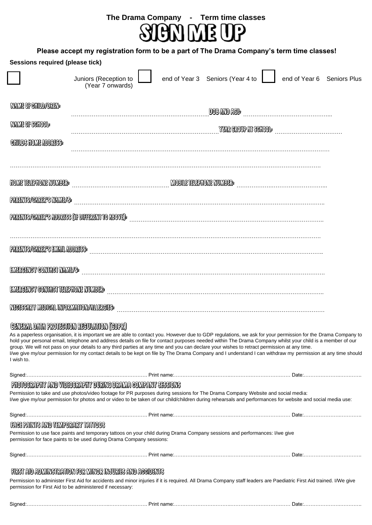

### **Please accept my registration form to be a part of The Drama Company's term time classes!**

| <b>Sessions required (please tick)</b>                                                                                                                                                                                                                                                                                                                                                                                                                                                                                                                                                                                                                                                                                                  |                                                                                                                                                                                                                                     |  |                                  |                                                            |                            |
|-----------------------------------------------------------------------------------------------------------------------------------------------------------------------------------------------------------------------------------------------------------------------------------------------------------------------------------------------------------------------------------------------------------------------------------------------------------------------------------------------------------------------------------------------------------------------------------------------------------------------------------------------------------------------------------------------------------------------------------------|-------------------------------------------------------------------------------------------------------------------------------------------------------------------------------------------------------------------------------------|--|----------------------------------|------------------------------------------------------------|----------------------------|
|                                                                                                                                                                                                                                                                                                                                                                                                                                                                                                                                                                                                                                                                                                                                         | Juniors (Reception to<br>(Year 7 onwards)                                                                                                                                                                                           |  | end of Year 3 Seniors (Year 4 to |                                                            | end of Year 6 Seniors Plus |
| <b>NAME OF CANDACTER</b>                                                                                                                                                                                                                                                                                                                                                                                                                                                                                                                                                                                                                                                                                                                |                                                                                                                                                                                                                                     |  |                                  | <b>DOB AND ACE Manual Community of ACE AND ACE PARTIES</b> |                            |
| <b>NAME OF SCHOOL:</b>                                                                                                                                                                                                                                                                                                                                                                                                                                                                                                                                                                                                                                                                                                                  | WRIGOUP IN SENDOL <b>AND SENDOL SENDOL AND SENDOL SENDOL SENDOL SENDOL</b> SENDOL SENDOL SENDOL SENDOL SENDOL SENDOL SENDOL SENDOL SENDOL SENDOL SENDOL SENDOL SENDOL SENDOL SENDOL SENDOL SENDOL SENDOL SENDOL SENDOL SENDOL SENDO |  |                                  |                                                            |                            |
| <b>CHILDS HOME ADDRESS:</b>                                                                                                                                                                                                                                                                                                                                                                                                                                                                                                                                                                                                                                                                                                             |                                                                                                                                                                                                                                     |  |                                  |                                                            |                            |
| <b>HOME TELEFHONE NUMBER:</b>                                                                                                                                                                                                                                                                                                                                                                                                                                                                                                                                                                                                                                                                                                           |                                                                                                                                                                                                                                     |  |                                  |                                                            |                            |
| PARENTS/CARER'S MAME/S                                                                                                                                                                                                                                                                                                                                                                                                                                                                                                                                                                                                                                                                                                                  |                                                                                                                                                                                                                                     |  |                                  |                                                            |                            |
| <b>PARTITIS/CARTAYS ADDRESS (OF DIFFERENT TO ABOVE):</b>                                                                                                                                                                                                                                                                                                                                                                                                                                                                                                                                                                                                                                                                                |                                                                                                                                                                                                                                     |  |                                  |                                                            |                            |
| PARIMPOCARIRYS EMML ADDRESS                                                                                                                                                                                                                                                                                                                                                                                                                                                                                                                                                                                                                                                                                                             |                                                                                                                                                                                                                                     |  |                                  |                                                            |                            |
| EMERGENCY GONNACT MAME/S:                                                                                                                                                                                                                                                                                                                                                                                                                                                                                                                                                                                                                                                                                                               |                                                                                                                                                                                                                                     |  |                                  |                                                            |                            |
|                                                                                                                                                                                                                                                                                                                                                                                                                                                                                                                                                                                                                                                                                                                                         |                                                                                                                                                                                                                                     |  |                                  |                                                            |                            |
|                                                                                                                                                                                                                                                                                                                                                                                                                                                                                                                                                                                                                                                                                                                                         |                                                                                                                                                                                                                                     |  |                                  |                                                            |                            |
| NICKSMIY MIDICIN MIORMINON/MURCUS<br>GENERAL DATA PROTECTION RECOLATION (GOPR)<br>As a paperless organisation, it is important we are able to contact you. However due to GDP regulations, we ask for your permission for the Drama Company to<br>hold your personal email, telephone and address details on file for contact purposes needed within The Drama Company whilst your child is a member of our<br>group. We will not pass on your details to any third parties at any time and you can declare your wishes to retract permission at any time.<br>I/we give my/our permission for my contact details to be kept on file by The Drama Company and I understand I can withdraw my permission at any time should<br>I wish to. |                                                                                                                                                                                                                                     |  |                                  |                                                            |                            |
|                                                                                                                                                                                                                                                                                                                                                                                                                                                                                                                                                                                                                                                                                                                                         |                                                                                                                                                                                                                                     |  |                                  |                                                            |                            |
| PHOTOGRAPHY AND VIDEOGRAPHY DURING DRAMA GOMPANY SESSIONS<br>Permission to take and use photos/video footage for PR purposes during sessions for The Drama Company Website and social media:<br>I/we give my/our permission for photos and or video to be taken of our child/children during rehearsals and performances for website and social media use:                                                                                                                                                                                                                                                                                                                                                                              |                                                                                                                                                                                                                                     |  |                                  |                                                            |                            |
|                                                                                                                                                                                                                                                                                                                                                                                                                                                                                                                                                                                                                                                                                                                                         |                                                                                                                                                                                                                                     |  |                                  |                                                            |                            |
| COOTTAT YEARD TEMPORARY TATTOOS                                                                                                                                                                                                                                                                                                                                                                                                                                                                                                                                                                                                                                                                                                         |                                                                                                                                                                                                                                     |  |                                  |                                                            |                            |
|                                                                                                                                                                                                                                                                                                                                                                                                                                                                                                                                                                                                                                                                                                                                         | Permission to use face paints and temporary tattoos on your child during Drama Company sessions and performances: I/we give<br>permission for face paints to be used during Drama Company sessions:                                 |  |                                  |                                                            |                            |
|                                                                                                                                                                                                                                                                                                                                                                                                                                                                                                                                                                                                                                                                                                                                         |                                                                                                                                                                                                                                     |  |                                  |                                                            |                            |
|                                                                                                                                                                                                                                                                                                                                                                                                                                                                                                                                                                                                                                                                                                                                         | FIEST AND ADEMICIATION FOR MICHAEL AND ASSOCIATS                                                                                                                                                                                    |  |                                  |                                                            |                            |
|                                                                                                                                                                                                                                                                                                                                                                                                                                                                                                                                                                                                                                                                                                                                         | Permission to administer First Aid for accidents and minor injuries if it is required. All Drama Company staff leaders are Paediatric First Aid trained. I/We give<br>permission for First Aid to be administered if necessary:     |  |                                  |                                                            |                            |
|                                                                                                                                                                                                                                                                                                                                                                                                                                                                                                                                                                                                                                                                                                                                         |                                                                                                                                                                                                                                     |  |                                  |                                                            |                            |